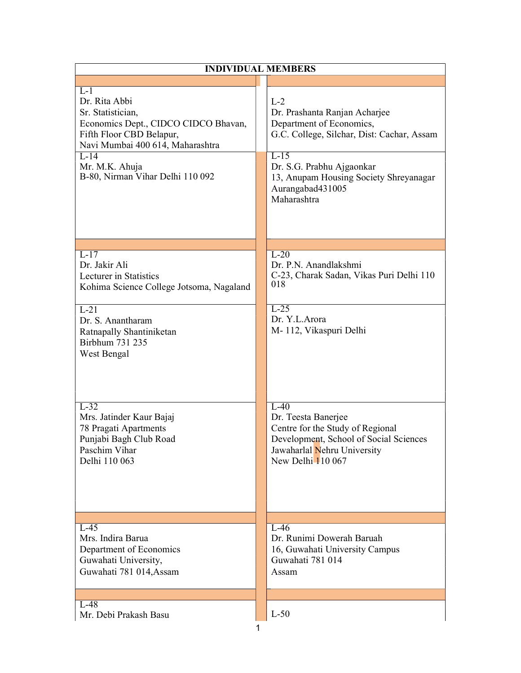| $L-1$<br>Dr. Rita Abbi<br>$L-2$<br>Sr. Statistician,<br>Dr. Prashanta Ranjan Acharjee<br>Economics Dept., CIDCO CIDCO Bhavan,<br>Department of Economics,<br>Fifth Floor CBD Belapur,<br>G.C. College, Silchar, Dist: Cachar, Assam<br>Navi Mumbai 400 614, Maharashtra<br>$L-15$<br>$L-14$<br>Dr. S.G. Prabhu Ajgaonkar<br>Mr. M.K. Ahuja<br>B-80, Nirman Vihar Delhi 110 092<br>13, Anupam Housing Society Shreyanagar<br>Aurangabad431005<br>Maharashtra<br>$L-17$<br>$L-20$<br>Dr. Jakir Ali<br>Dr. P.N. Anandlakshmi<br>C-23, Charak Sadan, Vikas Puri Delhi 110<br>Lecturer in Statistics<br>018<br>Kohima Science College Jotsoma, Nagaland<br>$L-25$<br>$L-21$<br>Dr. Y.L.Arora<br>Dr. S. Anantharam<br>M-112, Vikaspuri Delhi<br>Ratnapally Shantiniketan<br>Birbhum 731 235<br>West Bengal<br>$L-32$<br>$L-40$<br>Mrs. Jatinder Kaur Bajaj<br>Dr. Teesta Banerjee<br>Centre for the Study of Regional<br>78 Pragati Apartments<br>Punjabi Bagh Club Road<br>Development, School of Social Sciences<br>Paschim Vihar<br>Jawaharlal Nehru University<br>New Delhi 110 067<br>Delhi 110 063<br>$L-45$<br>$L-46$<br>Mrs. Indira Barua<br>Dr. Runimi Dowerah Baruah<br>Department of Economics<br>16, Guwahati University Campus<br>Guwahati 781 014<br>Guwahati University,<br>Guwahati 781 014, Assam<br>Assam<br>$L-48$<br>$L-50$<br>Mr. Debi Prakash Basu | <b>INDIVIDUAL MEMBERS</b> |
|--------------------------------------------------------------------------------------------------------------------------------------------------------------------------------------------------------------------------------------------------------------------------------------------------------------------------------------------------------------------------------------------------------------------------------------------------------------------------------------------------------------------------------------------------------------------------------------------------------------------------------------------------------------------------------------------------------------------------------------------------------------------------------------------------------------------------------------------------------------------------------------------------------------------------------------------------------------------------------------------------------------------------------------------------------------------------------------------------------------------------------------------------------------------------------------------------------------------------------------------------------------------------------------------------------------------------------------------------------------------|---------------------------|
|                                                                                                                                                                                                                                                                                                                                                                                                                                                                                                                                                                                                                                                                                                                                                                                                                                                                                                                                                                                                                                                                                                                                                                                                                                                                                                                                                                    |                           |
|                                                                                                                                                                                                                                                                                                                                                                                                                                                                                                                                                                                                                                                                                                                                                                                                                                                                                                                                                                                                                                                                                                                                                                                                                                                                                                                                                                    |                           |
|                                                                                                                                                                                                                                                                                                                                                                                                                                                                                                                                                                                                                                                                                                                                                                                                                                                                                                                                                                                                                                                                                                                                                                                                                                                                                                                                                                    |                           |
|                                                                                                                                                                                                                                                                                                                                                                                                                                                                                                                                                                                                                                                                                                                                                                                                                                                                                                                                                                                                                                                                                                                                                                                                                                                                                                                                                                    |                           |
|                                                                                                                                                                                                                                                                                                                                                                                                                                                                                                                                                                                                                                                                                                                                                                                                                                                                                                                                                                                                                                                                                                                                                                                                                                                                                                                                                                    |                           |
|                                                                                                                                                                                                                                                                                                                                                                                                                                                                                                                                                                                                                                                                                                                                                                                                                                                                                                                                                                                                                                                                                                                                                                                                                                                                                                                                                                    |                           |
|                                                                                                                                                                                                                                                                                                                                                                                                                                                                                                                                                                                                                                                                                                                                                                                                                                                                                                                                                                                                                                                                                                                                                                                                                                                                                                                                                                    |                           |
|                                                                                                                                                                                                                                                                                                                                                                                                                                                                                                                                                                                                                                                                                                                                                                                                                                                                                                                                                                                                                                                                                                                                                                                                                                                                                                                                                                    |                           |
|                                                                                                                                                                                                                                                                                                                                                                                                                                                                                                                                                                                                                                                                                                                                                                                                                                                                                                                                                                                                                                                                                                                                                                                                                                                                                                                                                                    |                           |
| 1                                                                                                                                                                                                                                                                                                                                                                                                                                                                                                                                                                                                                                                                                                                                                                                                                                                                                                                                                                                                                                                                                                                                                                                                                                                                                                                                                                  |                           |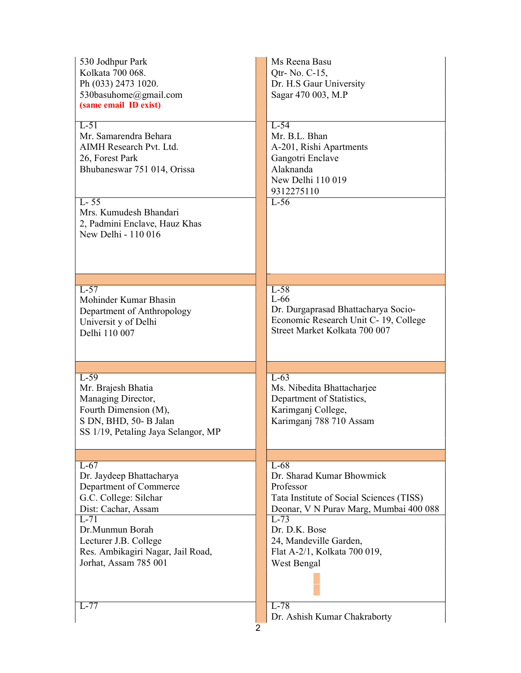| 530 Jodhpur Park<br>Kolkata 700 068.<br>Ph (033) 2473 1020.<br>530basuhome@gmail.com<br>(same email ID exist)                                | Ms Reena Basu<br>Qtr- No. C-15,<br>Dr. H.S Gaur University<br>Sagar 470 003, M.P                                                 |
|----------------------------------------------------------------------------------------------------------------------------------------------|----------------------------------------------------------------------------------------------------------------------------------|
| $L-51$<br>Mr. Samarendra Behara<br>AIMH Research Pvt. Ltd.<br>26, Forest Park<br>Bhubaneswar 751 014, Orissa                                 | $L-54$<br>Mr. B.L. Bhan<br>A-201, Rishi Apartments<br>Gangotri Enclave<br>Alaknanda<br>New Delhi 110 019<br>9312275110           |
| $L - 55$<br>Mrs. Kumudesh Bhandari<br>2, Padmini Enclave, Hauz Khas<br>New Delhi - 110 016                                                   | $L-56$                                                                                                                           |
| $L-57$<br>Mohinder Kumar Bhasin<br>Department of Anthropology<br>Universit y of Delhi<br>Delhi 110 007                                       | $L-58$<br>$L-66$<br>Dr. Durgaprasad Bhattacharya Socio-<br>Economic Research Unit C-19, College<br>Street Market Kolkata 700 007 |
| $L-59$<br>Mr. Brajesh Bhatia<br>Managing Director,<br>Fourth Dimension (M),<br>S DN, BHD, 50- B Jalan<br>SS 1/19, Petaling Jaya Selangor, MP | $L-63$<br>Ms. Nibedita Bhattacharjee<br>Department of Statistics,<br>Karimganj College,<br>Karimganj 788 710 Assam               |
| $L-67$<br>Dr. Jaydeep Bhattacharya                                                                                                           | $L-68$<br>Dr. Sharad Kumar Bhowmick                                                                                              |
| Department of Commerce<br>G.C. College: Silchar<br>Dist: Cachar, Assam<br>$L-71$                                                             | Professor<br>Tata Institute of Social Sciences (TISS)<br>Deonar, V N Purav Marg, Mumbai 400 088<br>$L-73$                        |
| Dr.Munmun Borah<br>Lecturer J.B. College<br>Res. Ambikagiri Nagar, Jail Road,<br>Jorhat, Assam 785 001                                       | Dr. D.K. Bose<br>24, Mandeville Garden,<br>Flat A-2/1, Kolkata 700 019,<br>West Bengal                                           |
| $L-77$                                                                                                                                       | $L-78$<br>Dr. Ashish Kumar Chakraborty<br>2                                                                                      |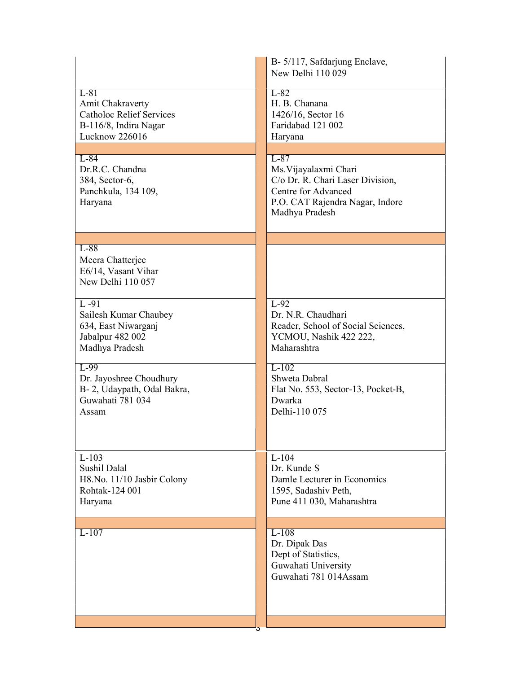|                                                       | B- 5/117, Safdarjung Enclave,<br>New Delhi 110 029     |
|-------------------------------------------------------|--------------------------------------------------------|
| $L-81$<br>Amit Chakraverty                            | $L-82$<br>H. B. Chanana                                |
| <b>Catholoc Relief Services</b>                       | 1426/16, Sector 16<br>Faridabad 121 002                |
| B-116/8, Indira Nagar<br>Lucknow 226016               | Haryana                                                |
|                                                       |                                                        |
| $L-84$<br>Dr.R.C. Chandna                             | $L-87$<br>Ms. Vijayalaxmi Chari                        |
| 384, Sector-6,                                        | C/o Dr. R. Chari Laser Division,                       |
| Panchkula, 134 109,<br>Haryana                        | Centre for Advanced<br>P.O. CAT Rajendra Nagar, Indore |
|                                                       | Madhya Pradesh                                         |
|                                                       |                                                        |
| $L-88$                                                |                                                        |
| Meera Chatterjee<br>E6/14, Vasant Vihar               |                                                        |
| New Delhi 110 057                                     |                                                        |
|                                                       |                                                        |
| $L - 91$<br>Sailesh Kumar Chaubey                     | $L-92$<br>Dr. N.R. Chaudhari                           |
| 634, East Niwarganj                                   | Reader, School of Social Sciences,                     |
| Jabalpur 482 002                                      | YCMOU, Nashik 422 222,                                 |
| Madhya Pradesh                                        | Maharashtra                                            |
| $L-99$                                                | $L-102$<br>Shweta Dabral                               |
| Dr. Jayoshree Choudhury<br>B-2, Udaypath, Odal Bakra, | Flat No. 553, Sector-13, Pocket-B,                     |
| Guwahati 781 034                                      | Dwarka                                                 |
| Assam                                                 | Delhi-110 075                                          |
|                                                       |                                                        |
|                                                       |                                                        |
| $L-103$<br>Sushil Dalal                               | $L-104$<br>Dr. Kunde S                                 |
| H8.No. 11/10 Jasbir Colony                            | Damle Lecturer in Economics                            |
| Rohtak-124 001                                        | 1595, Sadashiv Peth,                                   |
| Haryana                                               | Pune 411 030, Maharashtra                              |
|                                                       |                                                        |
| $L-107$                                               | $L-108$<br>Dr. Dipak Das                               |
|                                                       | Dept of Statistics,                                    |
|                                                       | Guwahati University<br>Guwahati 781 014Assam           |
|                                                       |                                                        |
|                                                       |                                                        |
|                                                       |                                                        |
|                                                       |                                                        |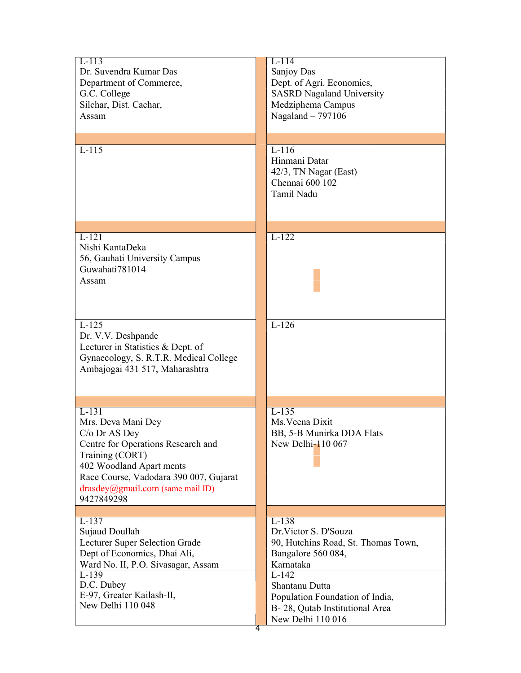| $L-113$<br>Dr. Suvendra Kumar Das<br>Department of Commerce,<br>G.C. College<br>Silchar, Dist. Cachar,<br>Assam                                                                                                                           | $L-114$<br>Sanjoy Das<br>Dept. of Agri. Economics,<br><b>SASRD Nagaland University</b><br>Medziphema Campus<br>Nagaland - 797106                                                                                                |
|-------------------------------------------------------------------------------------------------------------------------------------------------------------------------------------------------------------------------------------------|---------------------------------------------------------------------------------------------------------------------------------------------------------------------------------------------------------------------------------|
| $L-115$                                                                                                                                                                                                                                   | $L-116$<br>Hinmani Datar<br>42/3, TN Nagar (East)<br>Chennai 600 102<br>Tamil Nadu                                                                                                                                              |
| $L-121$<br>Nishi KantaDeka<br>56, Gauhati University Campus<br>Guwahati781014<br>Assam                                                                                                                                                    | $L-122$                                                                                                                                                                                                                         |
| $L-125$<br>Dr. V.V. Deshpande<br>Lecturer in Statistics & Dept. of<br>Gynaecology, S. R.T.R. Medical College<br>Ambajogai 431 517, Maharashtra                                                                                            | $L-126$                                                                                                                                                                                                                         |
| $L-131$<br>Mrs. Deva Mani Dey<br>C/o Dr AS Dey<br>Centre for Operations Research and<br>Training (CORT)<br>402 Woodland Apart ments<br>Race Course, Vadodara 390 007, Gujarat<br>$drasdey(\omega)$ gmail.com (same mail ID)<br>9427849298 | $L-135$<br>Ms. Veena Dixit<br>BB, 5-B Munirka DDA Flats<br>New Delhi-110 067                                                                                                                                                    |
| $L-137$<br>Sujaud Doullah<br>Lecturer Super Selection Grade<br>Dept of Economics, Dhai Ali,<br>Ward No. II, P.O. Sivasagar, Assam<br>$L-139$<br>D.C. Dubey<br>E-97, Greater Kailash-II,<br>New Delhi 110 048<br>4                         | $L-138$<br>Dr. Victor S. D'Souza<br>90, Hutchins Road, St. Thomas Town,<br>Bangalore 560 084,<br>Karnataka<br>L-142<br>Shantanu Dutta<br>Population Foundation of India,<br>B-28, Qutab Institutional Area<br>New Delhi 110 016 |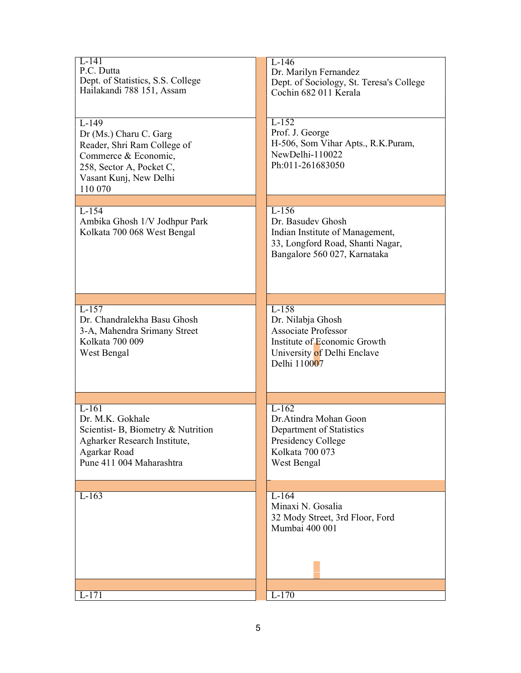| $L-141$<br>P.C. Dutta<br>Dept. of Statistics, S.S. College<br>Hailakandi 788 151, Assam                                                                   | $L-146$<br>Dr. Marilyn Fernandez<br>Dept. of Sociology, St. Teresa's College<br>Cochin 682 011 Kerala                                     |
|-----------------------------------------------------------------------------------------------------------------------------------------------------------|-------------------------------------------------------------------------------------------------------------------------------------------|
| $L-149$<br>Dr (Ms.) Charu C. Garg<br>Reader, Shri Ram College of<br>Commerce & Economic,<br>258, Sector A, Pocket C,<br>Vasant Kunj, New Delhi<br>110 070 | $L-152$<br>Prof. J. George<br>H-506, Som Vihar Apts., R.K.Puram,<br>NewDelhi-110022<br>Ph:011-261683050                                   |
| $L-154$<br>Ambika Ghosh 1/V Jodhpur Park<br>Kolkata 700 068 West Bengal                                                                                   | $L-156$<br>Dr. Basudev Ghosh<br>Indian Institute of Management,<br>33, Longford Road, Shanti Nagar,<br>Bangalore 560 027, Karnataka       |
| $L-157$<br>Dr. Chandralekha Basu Ghosh<br>3-A, Mahendra Srimany Street<br>Kolkata 700 009<br>West Bengal                                                  | $L-158$<br>Dr. Nilabja Ghosh<br><b>Associate Professor</b><br>Institute of Economic Growth<br>University of Delhi Enclave<br>Delhi 110007 |
| $L-161$<br>Dr. M.K. Gokhale<br>Scientist-B, Biometry & Nutrition<br>Agharker Research Institute,<br>Agarkar Road<br>Pune 411 004 Maharashtra              | $L-162$<br>Dr.Atindra Mohan Goon<br>Department of Statistics<br>Presidency College<br>Kolkata 700 073<br>West Bengal                      |
| $L-163$                                                                                                                                                   | $L-164$<br>Minaxi N. Gosalia<br>32 Mody Street, 3rd Floor, Ford<br>Mumbai 400 001                                                         |
| -171                                                                                                                                                      | $L-170$                                                                                                                                   |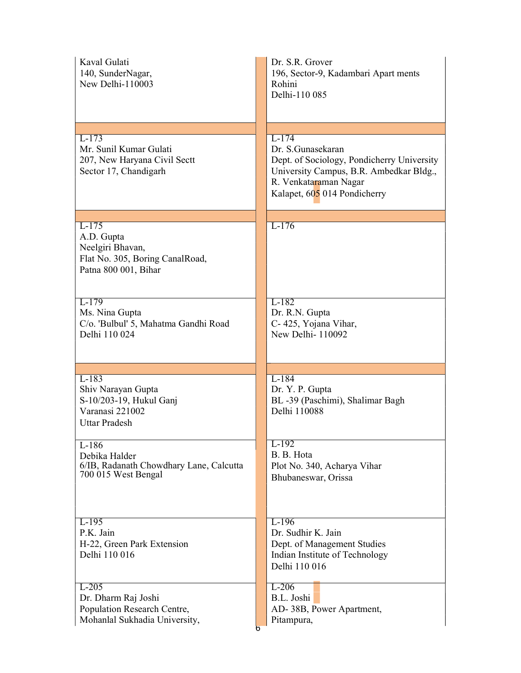| Kaval Gulati<br>140, SunderNagar,<br>New Delhi-110003                                                | Dr. S.R. Grover<br>196, Sector-9, Kadambari Apart ments<br>Rohini<br>Delhi-110 085                                                                                             |
|------------------------------------------------------------------------------------------------------|--------------------------------------------------------------------------------------------------------------------------------------------------------------------------------|
|                                                                                                      |                                                                                                                                                                                |
| $L-173$<br>Mr. Sunil Kumar Gulati<br>207, New Haryana Civil Sectt<br>Sector 17, Chandigarh           | $L-174$<br>Dr. S.Gunasekaran<br>Dept. of Sociology, Pondicherry University<br>University Campus, B.R. Ambedkar Bldg.,<br>R. Venkataraman Nagar<br>Kalapet, 605 014 Pondicherry |
|                                                                                                      |                                                                                                                                                                                |
| $L-175$<br>A.D. Gupta<br>Neelgiri Bhavan,<br>Flat No. 305, Boring CanalRoad,<br>Patna 800 001, Bihar | $L-176$                                                                                                                                                                        |
| $L-179$<br>Ms. Nina Gupta<br>C/o. 'Bulbul' 5, Mahatma Gandhi Road<br>Delhi 110 024                   | $L-182$<br>Dr. R.N. Gupta<br>C- 425, Yojana Vihar,<br>New Delhi-110092                                                                                                         |
|                                                                                                      |                                                                                                                                                                                |
| $L-183$<br>Shiv Narayan Gupta<br>S-10/203-19, Hukul Ganj<br>Varanasi 221002<br><b>Uttar Pradesh</b>  | $L-184$<br>Dr. Y. P. Gupta<br>BL-39 (Paschimi), Shalimar Bagh<br>Delhi 110088                                                                                                  |
| $L-186$<br>Debika Halder<br>6/IB, Radanath Chowdhary Lane, Calcutta<br>700 015 West Bengal           | $L-192$<br>B. B. Hota<br>Plot No. 340, Acharya Vihar<br>Bhubaneswar, Orissa                                                                                                    |
| $L-195$<br>P.K. Jain<br>H-22, Green Park Extension<br>Delhi 110 016                                  | $L-196$<br>Dr. Sudhir K. Jain<br>Dept. of Management Studies<br>Indian Institute of Technology<br>Delhi 110 016                                                                |
| $L-205$<br>Dr. Dharm Raj Joshi<br>Population Research Centre,<br>Mohanlal Sukhadia University,       | $L-206$<br>B.L. Joshi<br>AD-38B, Power Apartment,<br>Pitampura,<br>n                                                                                                           |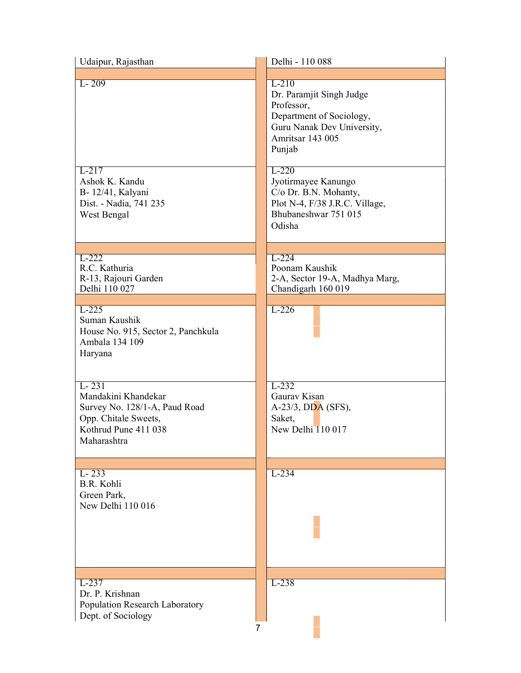| Udaipur, Rajasthan                                                                                                               | Delhi - 110 088                                                                                                                                                             |
|----------------------------------------------------------------------------------------------------------------------------------|-----------------------------------------------------------------------------------------------------------------------------------------------------------------------------|
| $L - 209$<br>$L-217$<br>Ashok K. Kandu                                                                                           | $L-210$<br>Dr. Paramjit Singh Judge<br>Professor,<br>Department of Sociology,<br>Guru Nanak Dev University,<br>Amritsar 143 005<br>Punjab<br>$L-220$<br>Jyotirmayee Kanungo |
| B-12/41, Kalyani<br>Dist. - Nadia, 741 235<br>West Bengal                                                                        | C/o Dr. B.N. Mohanty,<br>Plot N-4, F/38 J.R.C. Village,<br>Bhubaneshwar 751 015<br>Odisha                                                                                   |
| $L-222$<br>R.C. Kathuria<br>R-13, Rajouri Garden<br>Delhi 110 027                                                                | $L-224$<br>Poonam Kaushik<br>2-A, Sector 19-A, Madhya Marg,<br>Chandigarh 160 019                                                                                           |
| $L-225$<br>Suman Kaushik<br>House No. 915, Sector 2, Panchkula<br>Ambala 134 109<br>Haryana                                      | $L-226$                                                                                                                                                                     |
| $L - 231$<br>Mandakini Khandekar<br>Survey No. 128/1-A, Paud Road<br>Opp. Chitale Sweets,<br>Kothrud Pune 411 038<br>Maharashtra | $L-232$<br>Gaurav Kisan<br>A-23/3, DDA (SFS),<br>Saket,<br>New Delhi 110 017                                                                                                |
| $L-233$<br>B.R. Kohli<br>Green Park,<br>New Delhi 110 016                                                                        | $L-234$                                                                                                                                                                     |
| $L-237$<br>Dr. P. Krishnan<br>Population Research Laboratory<br>Dept. of Sociology                                               | $L-238$<br>7                                                                                                                                                                |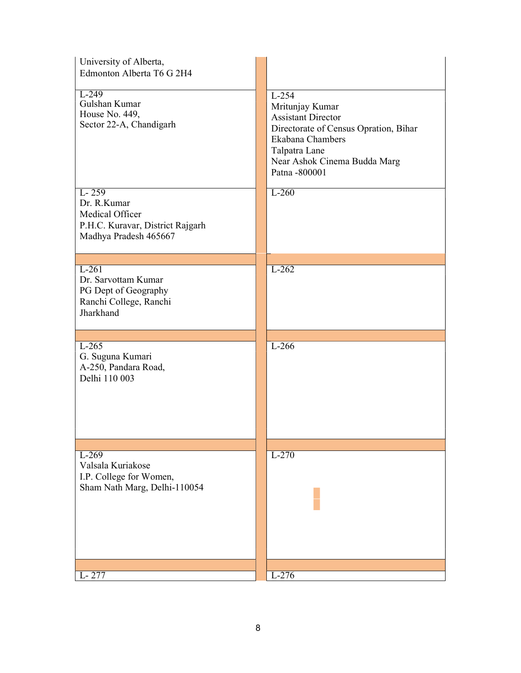| University of Alberta,<br>Edmonton Alberta T6 G 2H4                                                      |                                                                                                                                                                                        |
|----------------------------------------------------------------------------------------------------------|----------------------------------------------------------------------------------------------------------------------------------------------------------------------------------------|
| $L-249$<br>Gulshan Kumar<br>House No. 449,<br>Sector 22-A, Chandigarh                                    | $L-254$<br>Mritunjay Kumar<br><b>Assistant Director</b><br>Directorate of Census Opration, Bihar<br>Ekabana Chambers<br>Talpatra Lane<br>Near Ashok Cinema Budda Marg<br>Patna -800001 |
| $L - 259$<br>Dr. R.Kumar<br>Medical Officer<br>P.H.C. Kuravar, District Rajgarh<br>Madhya Pradesh 465667 | $L-260$                                                                                                                                                                                |
| $L-261$<br>Dr. Sarvottam Kumar<br>PG Dept of Geography<br>Ranchi College, Ranchi<br>Jharkhand            | $L-262$                                                                                                                                                                                |
| $L-265$<br>G. Suguna Kumari<br>A-250, Pandara Road,<br>Delhi 110 003                                     | $L-266$                                                                                                                                                                                |
| $L-269$<br>Valsala Kuriakose<br>I.P. College for Women,<br>Sham Nath Marg, Delhi-110054                  | $L-270$                                                                                                                                                                                |
| L-277                                                                                                    | $L-276$                                                                                                                                                                                |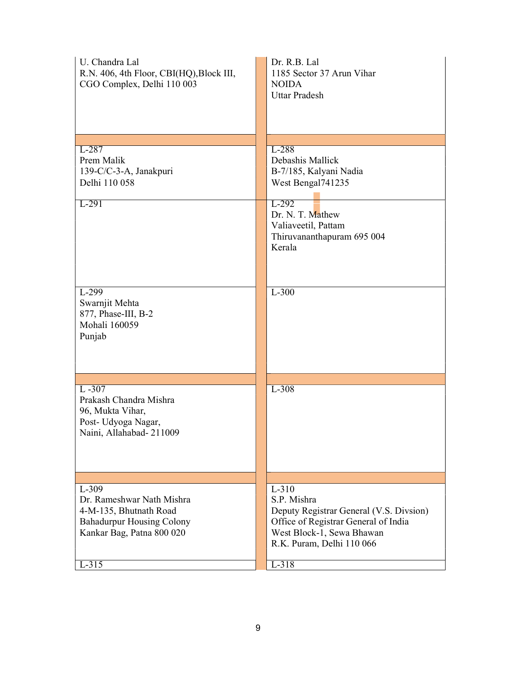| U. Chandra Lal<br>R.N. 406, 4th Floor, CBI(HQ), Block III,<br>CGO Complex, Delhi 110 003                                        | Dr. R.B. Lal<br>1185 Sector 37 Arun Vihar<br><b>NOIDA</b><br><b>Uttar Pradesh</b>                                                                                   |
|---------------------------------------------------------------------------------------------------------------------------------|---------------------------------------------------------------------------------------------------------------------------------------------------------------------|
|                                                                                                                                 |                                                                                                                                                                     |
| $L-287$<br>Prem Malik<br>139-C/C-3-A, Janakpuri<br>Delhi 110 058                                                                | L-288<br>Debashis Mallick<br>B-7/185, Kalyani Nadia<br>West Bengal741235                                                                                            |
| $L-291$                                                                                                                         | $L-292$<br>Dr. N. T. Mathew<br>Valiaveetil, Pattam<br>Thiruvananthapuram 695 004<br>Kerala                                                                          |
| L-299<br>Swarnjit Mehta<br>877, Phase-III, B-2<br>Mohali 160059<br>Punjab                                                       | $L-300$                                                                                                                                                             |
|                                                                                                                                 |                                                                                                                                                                     |
| $L - 307$<br>Prakash Chandra Mishra<br>96, Mukta Vihar,<br>Post- Udyoga Nagar,<br>Naini, Allahabad-211009                       | $L-308$                                                                                                                                                             |
|                                                                                                                                 |                                                                                                                                                                     |
| $L-309$<br>Dr. Rameshwar Nath Mishra<br>4-M-135, Bhutnath Road<br><b>Bahadurpur Housing Colony</b><br>Kankar Bag, Patna 800 020 | $L-310$<br>S.P. Mishra<br>Deputy Registrar General (V.S. Divsion)<br>Office of Registrar General of India<br>West Block-1, Sewa Bhawan<br>R.K. Puram, Delhi 110 066 |
| $L-315$                                                                                                                         | $L-318$                                                                                                                                                             |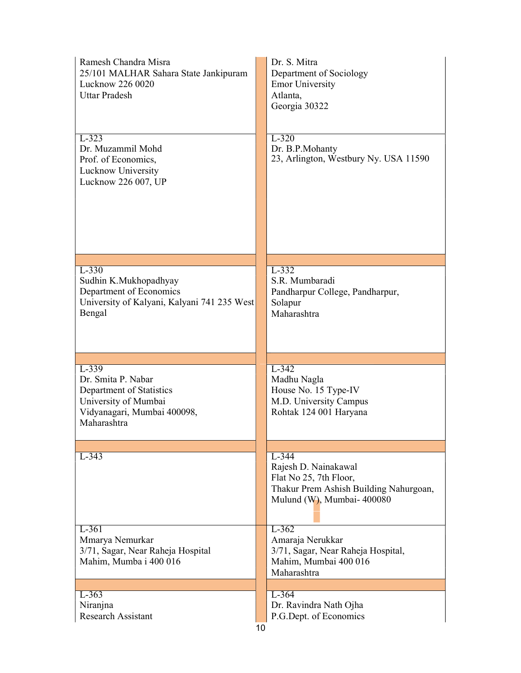| Ramesh Chandra Misra<br>25/101 MALHAR Sahara State Jankipuram<br>Lucknow 226 0020<br><b>Uttar Pradesh</b>                       | Dr. S. Mitra<br>Department of Sociology<br><b>Emor University</b><br>Atlanta.<br>Georgia 30322                                    |
|---------------------------------------------------------------------------------------------------------------------------------|-----------------------------------------------------------------------------------------------------------------------------------|
| $L-323$<br>Dr. Muzammil Mohd<br>Prof. of Economics,<br>Lucknow University<br>Lucknow 226 007, UP                                | $L-320$<br>Dr. B.P.Mohanty<br>23, Arlington, Westbury Ny. USA 11590                                                               |
| $L-330$<br>Sudhin K.Mukhopadhyay<br>Department of Economics<br>University of Kalyani, Kalyani 741 235 West<br>Bengal            | $L-332$<br>S.R. Mumbaradi<br>Pandharpur College, Pandharpur,<br>Solapur<br>Maharashtra                                            |
| $L-339$<br>Dr. Smita P. Nabar<br>Department of Statistics<br>University of Mumbai<br>Vidyanagari, Mumbai 400098,<br>Maharashtra | $L-342$<br>Madhu Nagla<br>House No. 15 Type-IV<br>M.D. University Campus<br>Rohtak 124 001 Haryana                                |
| $L-343$                                                                                                                         | $L-344$<br>Rajesh D. Nainakawal<br>Flat No 25, 7th Floor,<br>Thakur Prem Ashish Building Nahurgoan,<br>Mulund (W), Mumbai- 400080 |
| L-361<br>Mmarya Nemurkar<br>3/71, Sagar, Near Raheja Hospital<br>Mahim, Mumba i 400 016                                         | $L-362$<br>Amaraja Nerukkar<br>3/71, Sagar, Near Raheja Hospital,<br>Mahim, Mumbai 400 016<br>Maharashtra                         |
| $L-363$<br>Niranjna<br><b>Research Assistant</b>                                                                                | $L-364$<br>Dr. Ravindra Nath Ojha<br>P.G.Dept. of Economics                                                                       |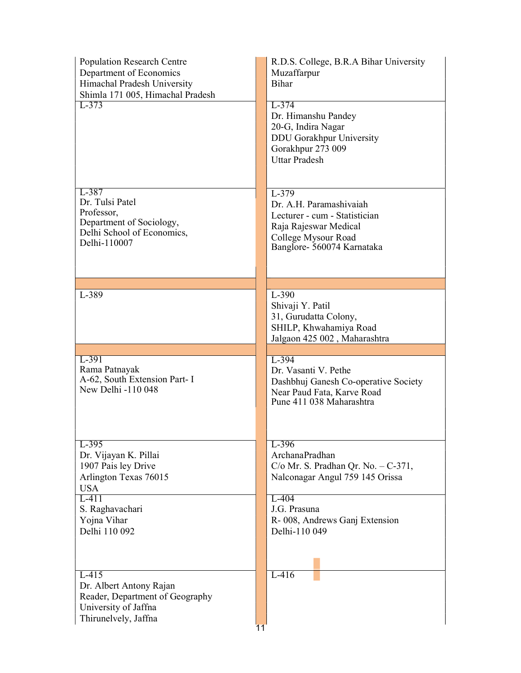| <b>Population Research Centre</b><br>Department of Economics<br>Himachal Pradesh University<br>Shimla 171 005, Himachal Pradesh<br>$L-373$                   | R.D.S. College, B.R.A Bihar University<br>Muzaffarpur<br><b>Bihar</b><br>$L-374$                                                                                                          |
|--------------------------------------------------------------------------------------------------------------------------------------------------------------|-------------------------------------------------------------------------------------------------------------------------------------------------------------------------------------------|
|                                                                                                                                                              | Dr. Himanshu Pandey<br>20-G, Indira Nagar<br>DDU Gorakhpur University<br>Gorakhpur 273 009<br><b>Uttar Pradesh</b>                                                                        |
| L-387<br>Dr. Tulsi Patel<br>Professor,<br>Department of Sociology,<br>Delhi School of Economics,<br>Delhi-110007                                             | $L-379$<br>Dr. A.H. Paramashivaiah<br>Lecturer - cum - Statistician<br>Raja Rajeswar Medical<br>College Mysour Road<br>Banglore- 560074 Karnataka                                         |
| L-389                                                                                                                                                        | $L-390$<br>Shivaji Y. Patil<br>31, Gurudatta Colony,<br>SHILP, Khwahamiya Road<br>Jalgaon 425 002, Maharashtra                                                                            |
| $L-391$<br>Rama Patnayak<br>A-62, South Extension Part- I<br>New Delhi -110 048                                                                              | L-394<br>Dr. Vasanti V. Pethe<br>Dashbhuj Ganesh Co-operative Society<br>Near Paud Fata, Karve Road<br>Pune 411 038 Maharashtra                                                           |
|                                                                                                                                                              |                                                                                                                                                                                           |
| $L-395$<br>Dr. Vijayan K. Pillai<br>1907 Pais ley Drive<br>Arlington Texas 76015<br><b>USA</b><br>$L-411$<br>S. Raghavachari<br>Yojna Vihar<br>Delhi 110 092 | $L-396$<br>ArchanaPradhan<br>$C/\sigma$ Mr. S. Pradhan Qr. No. $-C-371$ ,<br>Nalconagar Angul 759 145 Orissa<br>$L-404$<br>J.G. Prasuna<br>R-008, Andrews Ganj Extension<br>Delhi-110 049 |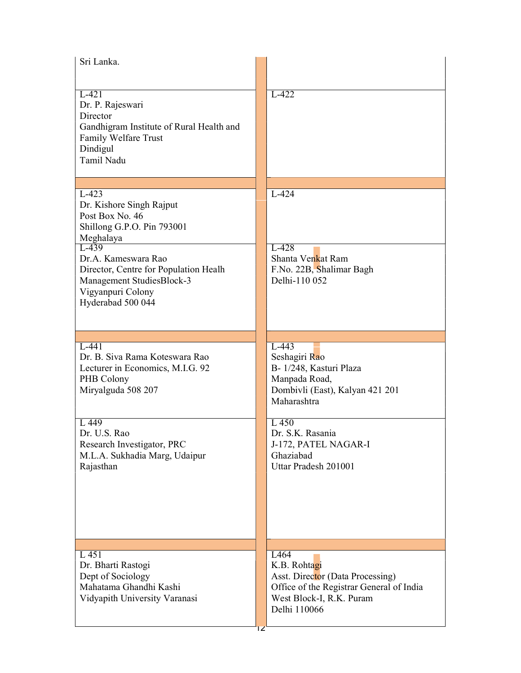| Sri Lanka.                                                                                                                                                                                                                                          |                                                                                                                                                  |
|-----------------------------------------------------------------------------------------------------------------------------------------------------------------------------------------------------------------------------------------------------|--------------------------------------------------------------------------------------------------------------------------------------------------|
| $L-421$<br>Dr. P. Rajeswari<br>Director<br>Gandhigram Institute of Rural Health and<br>Family Welfare Trust<br>Dindigul<br>Tamil Nadu                                                                                                               | $L-422$                                                                                                                                          |
|                                                                                                                                                                                                                                                     |                                                                                                                                                  |
| $L-423$<br>Dr. Kishore Singh Rajput<br>Post Box No. 46<br>Shillong G.P.O. Pin 793001<br>Meghalaya<br>$L-439$<br>Dr.A. Kameswara Rao<br>Director, Centre for Population Healh<br>Management StudiesBlock-3<br>Vigyanpuri Colony<br>Hyderabad 500 044 | $L-424$<br>L-428<br>Shanta Venkat Ram<br>F.No. 22B, Shalimar Bagh<br>Delhi-110 052                                                               |
|                                                                                                                                                                                                                                                     |                                                                                                                                                  |
| $L-441$<br>Dr. B. Siva Rama Koteswara Rao<br>Lecturer in Economics, M.I.G. 92<br>PHB Colony<br>Miryalguda 508 207                                                                                                                                   | $L-443$<br>Seshagiri Rao<br>B-1/248, Kasturi Plaza<br>Manpada Road,<br>Dombivli (East), Kalyan 421 201<br>Maharashtra                            |
| L 449<br>Dr. U.S. Rao<br>Research Investigator, PRC<br>M.L.A. Sukhadia Marg, Udaipur<br>Rajasthan                                                                                                                                                   | L 450<br>Dr. S.K. Rasania<br>J-172, PATEL NAGAR-I<br>Ghaziabad<br>Uttar Pradesh 201001                                                           |
|                                                                                                                                                                                                                                                     |                                                                                                                                                  |
| L 451<br>Dr. Bharti Rastogi<br>Dept of Sociology<br>Mahatama Ghandhi Kashi<br>Vidyapith University Varanasi                                                                                                                                         | L464<br>K.B. Rohtagi<br>Asst. Director (Data Processing)<br>Office of the Registrar General of India<br>West Block-I, R.K. Puram<br>Delhi 110066 |
|                                                                                                                                                                                                                                                     | ΙZ                                                                                                                                               |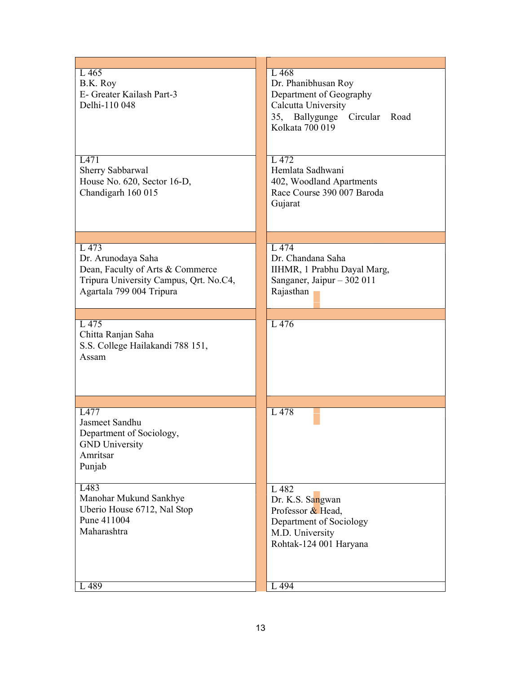| L 465<br>B.K. Roy<br>E- Greater Kailash Part-3<br>Delhi-110 048                                                                       | L468<br>Dr. Phanibhusan Roy<br>Department of Geography<br>Calcutta University<br>35, Ballygunge Circular Road<br>Kolkata 700 019 |
|---------------------------------------------------------------------------------------------------------------------------------------|----------------------------------------------------------------------------------------------------------------------------------|
| L471<br>Sherry Sabbarwal<br>House No. 620, Sector 16-D,<br>Chandigarh 160 015                                                         | L 472<br>Hemlata Sadhwani<br>402, Woodland Apartments<br>Race Course 390 007 Baroda<br>Gujarat                                   |
| L 473<br>Dr. Arunodaya Saha<br>Dean, Faculty of Arts & Commerce<br>Tripura University Campus, Qrt. No.C4,<br>Agartala 799 004 Tripura | L 474<br>Dr. Chandana Saha<br>IIHMR, 1 Prabhu Dayal Marg,<br>Sanganer, Jaipur - 302 011<br>Rajasthan                             |
|                                                                                                                                       |                                                                                                                                  |
| L 475<br>Chitta Ranjan Saha<br>S.S. College Hailakandi 788 151,<br>Assam                                                              | L 476                                                                                                                            |
| L477<br>Jasmeet Sandhu<br>Department of Sociology,<br><b>GND</b> University<br>Amritsar<br>Punjab                                     | L 478                                                                                                                            |
| L483<br>Manohar Mukund Sankhye<br>Uberio House 6712, Nal Stop<br>Pune 411004<br>Maharashtra                                           | L 482<br>Dr. K.S. Sangwan<br>Professor & Head,<br>Department of Sociology<br>M.D. University<br>Rohtak-124 001 Haryana           |
| 489                                                                                                                                   | L 494                                                                                                                            |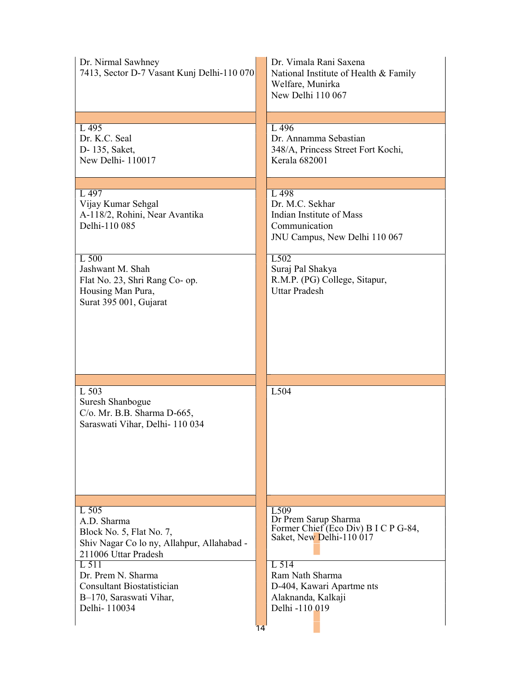| Dr. Nirmal Sawhney<br>7413, Sector D-7 Vasant Kunj Delhi-110 070                                                         | Dr. Vimala Rani Saxena<br>National Institute of Health & Family<br>Welfare, Munirka<br>New Delhi 110 067     |
|--------------------------------------------------------------------------------------------------------------------------|--------------------------------------------------------------------------------------------------------------|
|                                                                                                                          |                                                                                                              |
| L 495<br>Dr. K.C. Seal<br>D- 135, Saket,<br>New Delhi-110017                                                             | L 496<br>Dr. Annamma Sebastian<br>348/A, Princess Street Fort Kochi,<br>Kerala 682001                        |
|                                                                                                                          |                                                                                                              |
| L 497<br>Vijay Kumar Sehgal<br>A-118/2, Rohini, Near Avantika<br>Delhi-110 085                                           | L 498<br>Dr. M.C. Sekhar<br>Indian Institute of Mass<br>Communication<br>JNU Campus, New Delhi 110 067       |
| L 500<br>Jashwant M. Shah<br>Flat No. 23, Shri Rang Co- op.<br>Housing Man Pura,<br>Surat 395 001, Gujarat               | L502<br>Suraj Pal Shakya<br>R.M.P. (PG) College, Sitapur,<br><b>Uttar Pradesh</b>                            |
|                                                                                                                          |                                                                                                              |
| L 503                                                                                                                    | L504                                                                                                         |
| Suresh Shanbogue<br>C/o. Mr. B.B. Sharma D-665,<br>Saraswati Vihar, Delhi- 110 034                                       |                                                                                                              |
|                                                                                                                          |                                                                                                              |
|                                                                                                                          |                                                                                                              |
|                                                                                                                          |                                                                                                              |
| $L$ 505<br>A.D. Sharma<br>Block No. 5, Flat No. 7,<br>Shiv Nagar Co lo ny, Allahpur, Allahabad -<br>211006 Uttar Pradesh | L <sub>509</sub><br>Dr Prem Sarup Sharma<br>Former Chief (Eco Div) B I C P G-84,<br>Saket, New Delhi-110 017 |
| L 511<br>Dr. Prem N. Sharma<br><b>Consultant Biostatistician</b><br>B-170, Saraswati Vihar,<br>Delhi-110034              | L 514<br>Ram Nath Sharma<br>D-404, Kawari Apartme nts<br>Alaknanda, Kalkaji<br>Delhi -110 019                |
|                                                                                                                          | 14                                                                                                           |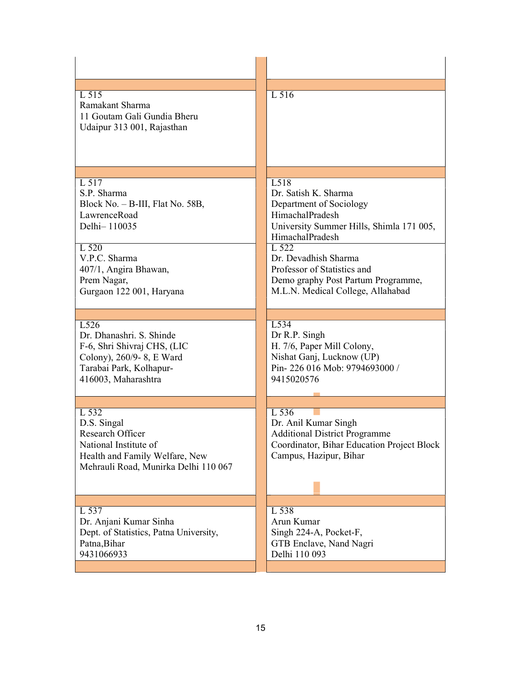| L 515<br>Ramakant Sharma<br>11 Goutam Gali Gundia Bheru<br>Udaipur 313 001, Rajasthan                                                                                                  | L 516                                                                                                                                                                                                                                                                                |
|----------------------------------------------------------------------------------------------------------------------------------------------------------------------------------------|--------------------------------------------------------------------------------------------------------------------------------------------------------------------------------------------------------------------------------------------------------------------------------------|
| L 517<br>S.P. Sharma<br>Block No. - B-III, Flat No. 58B,<br>LawrenceRoad<br>Delhi-110035<br>L 520<br>V.P.C. Sharma<br>407/1, Angira Bhawan,<br>Prem Nagar,<br>Gurgaon 122 001, Haryana | L518<br>Dr. Satish K. Sharma<br>Department of Sociology<br>HimachalPradesh<br>University Summer Hills, Shimla 171 005,<br>HimachalPradesh<br>L 522<br>Dr. Devadhish Sharma<br>Professor of Statistics and<br>Demo graphy Post Partum Programme,<br>M.L.N. Medical College, Allahabad |
| L <sub>526</sub><br>Dr. Dhanashri. S. Shinde<br>F-6, Shri Shivraj CHS, (LIC<br>Colony), 260/9-8, E Ward<br>Tarabai Park, Kolhapur-<br>416003, Maharashtra                              | L534<br>Dr R.P. Singh<br>H. 7/6, Paper Mill Colony,<br>Nishat Ganj, Lucknow (UP)<br>Pin-226 016 Mob: 9794693000 /<br>9415020576                                                                                                                                                      |
| L 532<br>D.S. Singal<br>Research Officer<br>National Institute of<br>Health and Family Welfare, New<br>Mehrauli Road, Munirka Delhi 110 067                                            | L 536<br>Dr. Anil Kumar Singh<br><b>Additional District Programme</b><br>Coordinator, Bihar Education Project Block<br>Campus, Hazipur, Bihar                                                                                                                                        |
| L 537<br>Dr. Anjani Kumar Sinha<br>Dept. of Statistics, Patna University,<br>Patna, Bihar<br>9431066933                                                                                | L 538<br>Arun Kumar<br>Singh 224-A, Pocket-F,<br>GTB Enclave, Nand Nagri<br>Delhi 110 093                                                                                                                                                                                            |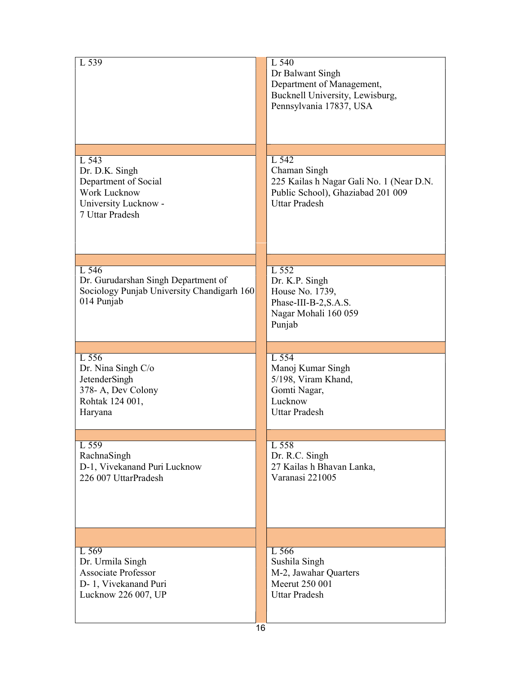| L 539                                                                                                      | L 540<br>Dr Balwant Singh<br>Department of Management,<br>Bucknell University, Lewisburg,<br>Pennsylvania 17837, USA           |
|------------------------------------------------------------------------------------------------------------|--------------------------------------------------------------------------------------------------------------------------------|
|                                                                                                            |                                                                                                                                |
| L 543<br>Dr. D.K. Singh<br>Department of Social<br>Work Lucknow<br>University Lucknow -<br>7 Uttar Pradesh | L 542<br>Chaman Singh<br>225 Kailas h Nagar Gali No. 1 (Near D.N.<br>Public School), Ghaziabad 201 009<br><b>Uttar Pradesh</b> |
| L 546<br>Dr. Gurudarshan Singh Department of<br>Sociology Punjab University Chandigarh 160<br>014 Punjab   | L 552<br>Dr. K.P. Singh<br>House No. 1739,<br>Phase-III-B-2, S.A.S.<br>Nagar Mohali 160 059<br>Punjab                          |
| L 556                                                                                                      | L 554                                                                                                                          |
| Dr. Nina Singh C/o<br>JetenderSingh<br>378-A, Dev Colony<br>Rohtak 124 001,<br>Haryana                     | Manoj Kumar Singh<br>5/198, Viram Khand,<br>Gomti Nagar,<br>Lucknow<br><b>Uttar Pradesh</b>                                    |
| L 559                                                                                                      | L 558                                                                                                                          |
| RachnaSingh<br>D-1, Vivekanand Puri Lucknow<br>226 007 UttarPradesh                                        | Dr. R.C. Singh<br>27 Kailas h Bhavan Lanka,<br>Varanasi 221005                                                                 |
|                                                                                                            |                                                                                                                                |
| L 569<br>Dr. Urmila Singh<br><b>Associate Professor</b><br>D-1, Vivekanand Puri<br>Lucknow 226 007, UP     | L 566<br>Sushila Singh<br>M-2, Jawahar Quarters<br>Meerut 250 001<br><b>Uttar Pradesh</b>                                      |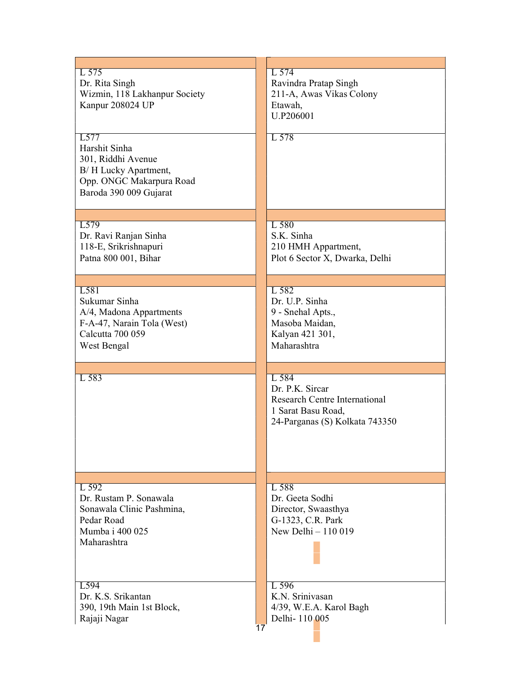| L 575<br>Dr. Rita Singh<br>Wizmin, 118 Lakhanpur Society<br>Kanpur 208024 UP<br>L577<br>Harshit Sinha<br>301, Riddhi Avenue<br>B/H Lucky Apartment,<br>Opp. ONGC Makarpura Road<br>Baroda 390 009 Gujarat | $L$ 574<br>Ravindra Pratap Singh<br>211-A, Awas Vikas Colony<br>Etawah,<br>U.P206001<br>L 578                     |
|-----------------------------------------------------------------------------------------------------------------------------------------------------------------------------------------------------------|-------------------------------------------------------------------------------------------------------------------|
| L <sub>579</sub>                                                                                                                                                                                          | L 580                                                                                                             |
| Dr. Ravi Ranjan Sinha                                                                                                                                                                                     | S.K. Sinha                                                                                                        |
| 118-E, Srikrishnapuri                                                                                                                                                                                     | 210 HMH Appartment,                                                                                               |
| Patna 800 001, Bihar                                                                                                                                                                                      | Plot 6 Sector X, Dwarka, Delhi                                                                                    |
| L581                                                                                                                                                                                                      | L 582                                                                                                             |
| Sukumar Sinha                                                                                                                                                                                             | Dr. U.P. Sinha                                                                                                    |
| A/4, Madona Appartments                                                                                                                                                                                   | 9 - Snehal Apts.,                                                                                                 |
| F-A-47, Narain Tola (West)                                                                                                                                                                                | Masoba Maidan,                                                                                                    |
| Calcutta 700 059                                                                                                                                                                                          | Kalyan 421 301,                                                                                                   |
| West Bengal                                                                                                                                                                                               | Maharashtra                                                                                                       |
| L 583                                                                                                                                                                                                     | L 584<br>Dr. P.K. Sircar<br>Research Centre International<br>1 Sarat Basu Road,<br>24-Parganas (S) Kolkata 743350 |
| $L$ 592<br>Dr. Rustam P. Sonawala<br>Sonawala Clinic Pashmina,<br>Pedar Road<br>Mumba i 400 025<br>Maharashtra                                                                                            | L 588<br>Dr. Geeta Sodhi<br>Director, Swaasthya<br>G-1323, C.R. Park<br>New Delhi $-110019$                       |
| L <sub>594</sub>                                                                                                                                                                                          | L 596                                                                                                             |
| Dr. K.S. Srikantan                                                                                                                                                                                        | K.N. Srinivasan                                                                                                   |
| 390, 19th Main 1st Block,                                                                                                                                                                                 | 4/39, W.E.A. Karol Bagh                                                                                           |
| Rajaji Nagar                                                                                                                                                                                              | Delhi-110005                                                                                                      |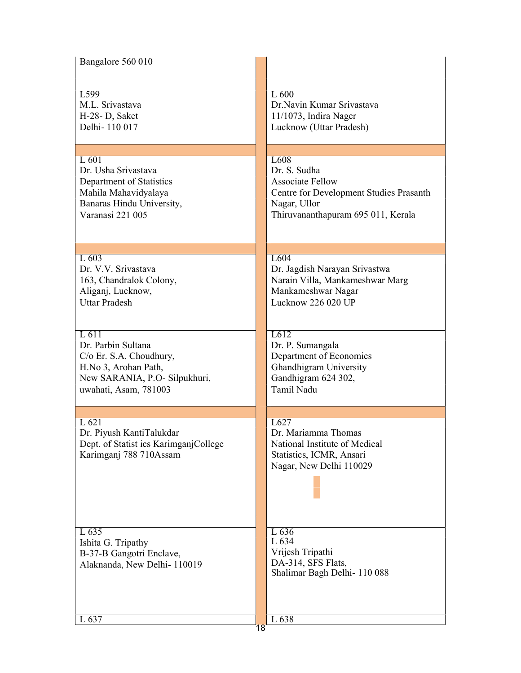| Bangalore 560 010                                                                                                                          |                                                                                                                                          |
|--------------------------------------------------------------------------------------------------------------------------------------------|------------------------------------------------------------------------------------------------------------------------------------------|
| L599<br>M.L. Srivastava<br>H-28- D, Saket<br>Delhi-110 017                                                                                 | L600<br>Dr.Navin Kumar Srivastava<br>$11/1073$ , Indira Nager<br>Lucknow (Uttar Pradesh)                                                 |
| $L$ 601                                                                                                                                    | L <sub>608</sub>                                                                                                                         |
| Dr. Usha Srivastava<br>Department of Statistics<br>Mahila Mahavidyalaya<br>Banaras Hindu University,<br>Varanasi 221 005                   | Dr. S. Sudha<br><b>Associate Fellow</b><br>Centre for Development Studies Prasanth<br>Nagar, Ullor<br>Thiruvananthapuram 695 011, Kerala |
| L603                                                                                                                                       | L604                                                                                                                                     |
| Dr. V.V. Srivastava<br>163, Chandralok Colony,<br>Aliganj, Lucknow,<br><b>Uttar Pradesh</b>                                                | Dr. Jagdish Narayan Srivastwa<br>Narain Villa, Mankameshwar Marg<br>Mankameshwar Nagar<br>Lucknow 226 020 UP                             |
| $L$ 611<br>Dr. Parbin Sultana<br>C/o Er. S.A. Choudhury,<br>H.No 3, Arohan Path,<br>New SARANIA, P.O- Silpukhuri,<br>uwahati, Asam, 781003 | L612<br>Dr. P. Sumangala<br>Department of Economics<br>Ghandhigram University<br>Gandhigram 624 302,<br>Tamil Nadu                       |
|                                                                                                                                            |                                                                                                                                          |
| L 621<br>Dr. Piyush KantiTalukdar<br>Dept. of Statist ics KarimganjCollege<br>Karimganj 788 710Assam                                       | L627<br>Dr. Mariamma Thomas<br>National Institute of Medical<br>Statistics, ICMR, Ansari<br>Nagar, New Delhi 110029                      |
| L 635<br>Ishita G. Tripathy<br>B-37-B Gangotri Enclave,<br>Alaknanda, New Delhi-110019                                                     | L 636<br>L 634<br>Vrijesh Tripathi<br>DA-314, SFS Flats,<br>Shalimar Bagh Delhi-110088                                                   |
| L 637                                                                                                                                      | L 638<br>18                                                                                                                              |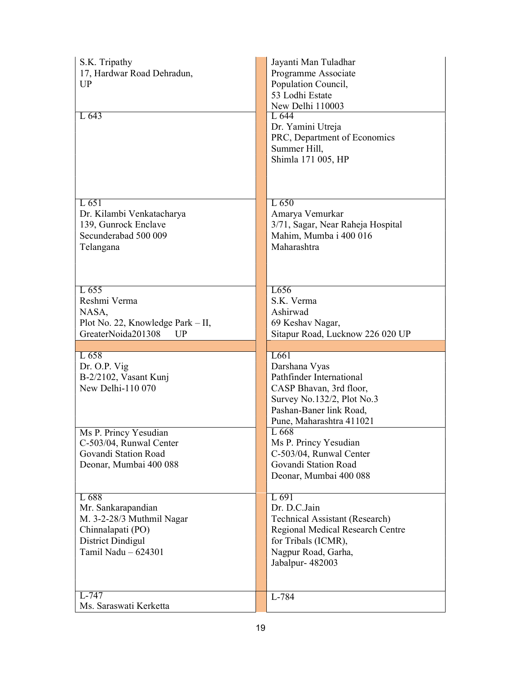| S.K. Tripathy<br>17, Hardwar Road Dehradun,<br><b>UP</b><br>$L\overline{643}$                                             | Jayanti Man Tuladhar<br>Programme Associate<br>Population Council,<br>53 Lodhi Estate<br>New Delhi 110003<br>L 644<br>Dr. Yamini Utreja<br>PRC, Department of Economics |
|---------------------------------------------------------------------------------------------------------------------------|-------------------------------------------------------------------------------------------------------------------------------------------------------------------------|
| L651<br>Dr. Kilambi Venkatacharya<br>139, Gunrock Enclave<br>Secunderabad 500 009                                         | Summer Hill,<br>Shimla 171 005, HP<br>L650<br>Amarya Vemurkar<br>3/71, Sagar, Near Raheja Hospital<br>Mahim, Mumba i 400 016                                            |
| Telangana<br>L655                                                                                                         | Maharashtra<br>L656                                                                                                                                                     |
| Reshmi Verma<br>NASA,<br>Plot No. 22, Knowledge Park - II,<br>GreaterNoida201308<br>UP                                    | S.K. Verma<br>Ashirwad<br>69 Keshav Nagar,<br>Sitapur Road, Lucknow 226 020 UP                                                                                          |
| L 658<br>Dr. O.P. Vig<br>B-2/2102, Vasant Kunj<br>New Delhi-110 070                                                       | L661<br>Darshana Vyas<br>Pathfinder International<br>CASP Bhavan, 3rd floor,<br>Survey No.132/2, Plot No.3<br>Pashan-Baner link Road,                                   |
| Ms P. Princy Yesudian<br>C-503/04, Runwal Center<br>Govandi Station Road<br>Deonar, Mumbai 400 088                        | Pune, Maharashtra 411021<br>L 668<br>Ms P. Princy Yesudian<br>C-503/04, Runwal Center<br>Govandi Station Road<br>Deonar, Mumbai 400 088                                 |
| L 688<br>Mr. Sankarapandian<br>M. 3-2-28/3 Muthmil Nagar<br>Chinnalapati (PO)<br>District Dindigul<br>Tamil Nadu - 624301 | L 691<br>Dr. D.C.Jain<br><b>Technical Assistant (Research)</b><br>Regional Medical Research Centre<br>for Tribals (ICMR),<br>Nagpur Road, Garha,<br>Jabalpur- 482003    |
| $L-747$<br>Ms. Saraswati Kerketta                                                                                         | L-784                                                                                                                                                                   |